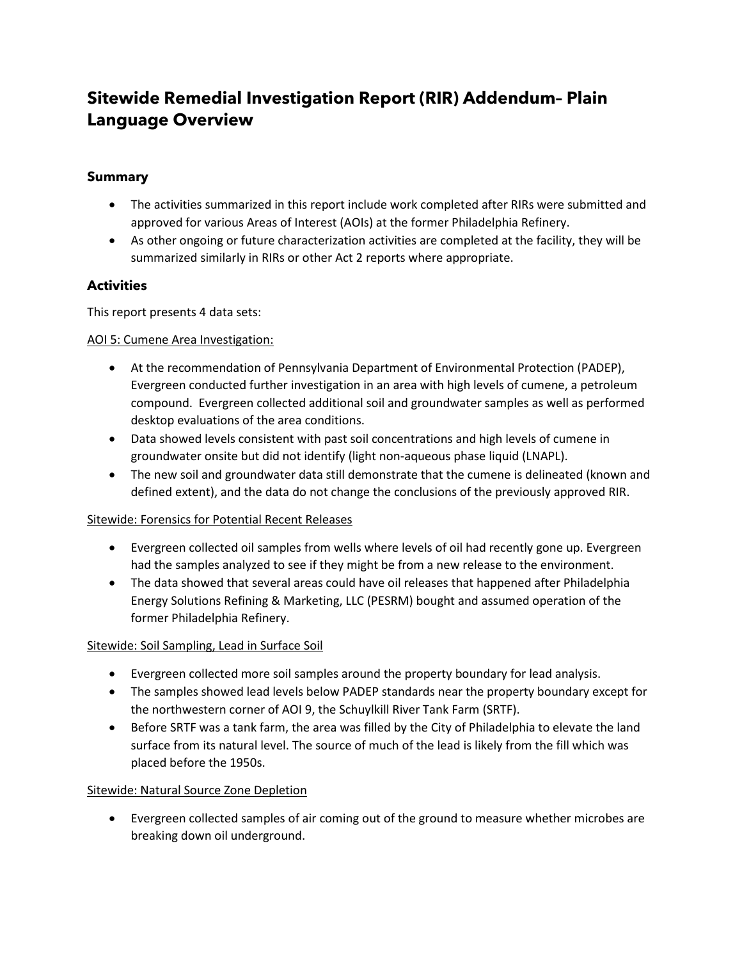# **Sitewide Remedial Investigation Report (RIR) Addendum– Plain Language Overview**

## **Summary**

- The activities summarized in this report include work completed after RIRs were submitted and approved for various Areas of Interest (AOIs) at the former Philadelphia Refinery.
- As other ongoing or future characterization activities are completed at the facility, they will be summarized similarly in RIRs or other Act 2 reports where appropriate.

### **Activities**

This report presents 4 data sets:

#### AOI 5: Cumene Area Investigation:

- At the recommendation of Pennsylvania Department of Environmental Protection (PADEP), Evergreen conducted further investigation in an area with high levels of cumene, a petroleum compound. Evergreen collected additional soil and groundwater samples as well as performed desktop evaluations of the area conditions.
- Data showed levels consistent with past soil concentrations and high levels of cumene in groundwater onsite but did not identify (light non-aqueous phase liquid (LNAPL).
- The new soil and groundwater data still demonstrate that the cumene is delineated (known and defined extent), and the data do not change the conclusions of the previously approved RIR.

### Sitewide: Forensics for Potential Recent Releases

- Evergreen collected oil samples from wells where levels of oil had recently gone up. Evergreen had the samples analyzed to see if they might be from a new release to the environment.
- The data showed that several areas could have oil releases that happened after Philadelphia Energy Solutions Refining & Marketing, LLC (PESRM) bought and assumed operation of the former Philadelphia Refinery.

### Sitewide: Soil Sampling, Lead in Surface Soil

- Evergreen collected more soil samples around the property boundary for lead analysis.
- The samples showed lead levels below PADEP standards near the property boundary except for the northwestern corner of AOI 9, the Schuylkill River Tank Farm (SRTF).
- Before SRTF was a tank farm, the area was filled by the City of Philadelphia to elevate the land surface from its natural level. The source of much of the lead is likely from the fill which was placed before the 1950s.

### Sitewide: Natural Source Zone Depletion

• Evergreen collected samples of air coming out of the ground to measure whether microbes are breaking down oil underground.